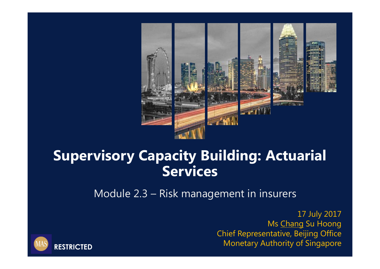

#### **Supervisory Capacity Building: Actuarial Services**

Module 2.3 – Risk management in insurers

17 July 2017 Ms Chang Su Hoong Chief Representative, Beijing Office Monetary Authority of Singapore

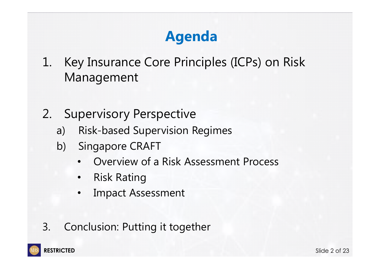## **Agenda**

- 1. Key Insurance Core Principles (ICPs) on Risk Management
- 2. Supervisory Perspective
	- a) Risk-based Supervision Regimes
	- b) Singapore CRAFT
		- $\bullet$ Overview of a Risk Assessment Process
		- •Risk Rating
		- •Impact Assessment
- 3. Conclusion: Putting it together

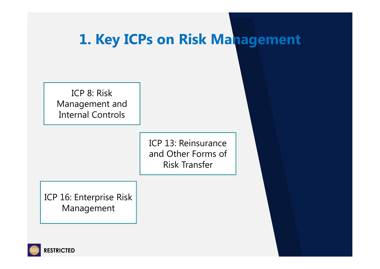#### **1. Key ICPs on Risk Management**

ICP 8: Risk Management and Internal Controls

> ICP 13: Reinsurance and Other Forms of Risk Transfer

ICP 16: Enterprise Risk Management

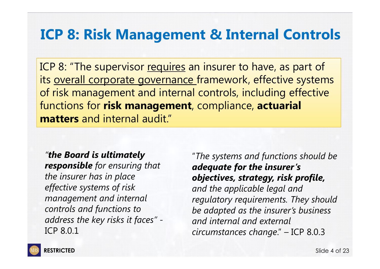#### **ICP 8: Risk Management & Internal Controls**

ICP 8: "The supervisor requires an insurer to have, as part of its overall corporate governance framework, effective systems of risk management and internal controls, including effective functions for **risk management**, compliance, **actuarial matters** and internal audit."

*"the Board is ultimately responsible for ensuring that the insurer has in place effective systems of risk management and internal controls and functions to address the key risks it faces"* - ICP 8.0.1

"*The systems and functions should be adequate for the insurer's objectives, strategy, risk profile, and the applicable legal and regulatory requirements. They should be adapted as the insurer's business and internal and external circumstances change*." – ICP 8.0.3

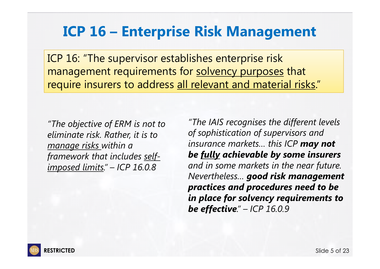#### **ICP 16 – Enterprise Risk Management**

ICP 16: "The supervisor establishes enterprise risk management requirements for solvency purposes that require insurers to address all relevant and material risks."

*"The objective of ERM is not to eliminate risk. Rather, it is to manage risks within a framework that includes selfimposed limits." – ICP 16.0.8*

*"The IAIS recognises the different levels of sophistication of supervisors and insurance markets… this ICP may no<sup>t</sup> be fully achievable by some insurers and in some markets in the near future. Nevertheless… good risk management practices and procedures need to be in place for solvency requirements to be effective." – ICP 16.0.9*

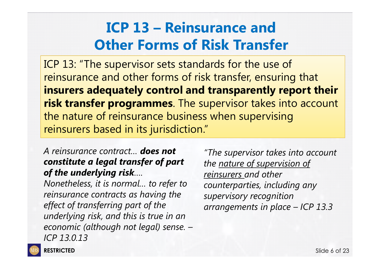## **ICP 13 – Reinsurance and Other Forms of Risk Transfer**

ICP 13: "The supervisor sets standards for the use of reinsurance and other forms of risk transfer, ensuring that **insurers adequately control and transparently report their risk transfer programmes**. The supervisor takes into account the nature of reinsurance business when supervising reinsurers based in its jurisdiction."

#### *A reinsurance contract… does not constitute a legal transfer of part of the underlying risk….*

*Nonetheless, it is normal… to refer to reinsurance contracts as having the effect of transferring part of the underlying risk, and this is true in an economic (although not legal) sense. – ICP 13.0.13*

*"The supervisor takes into account the nature of supervision of reinsurers and other counterparties, including any supervisory recognition arrangements in place – ICP 13.3* 

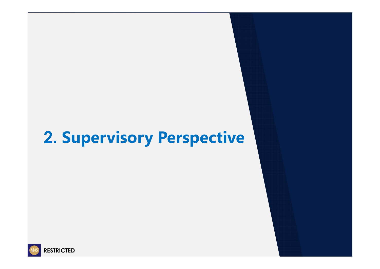# **2. Supervisory Perspective**

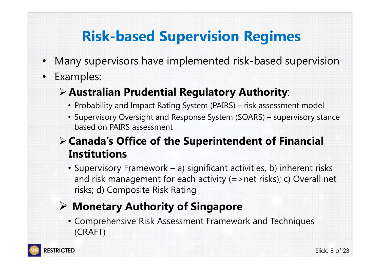## **Risk-based Supervision Regimes**

- •Many supervisors have implemented risk-based supervision
- •Examples:

#### **Australian Prudential Regulatory Authority**:

- Probability and Impact Rating System (PAIRS) risk assessment model
- Supervisory Oversight and Response System (SOARS) supervisory stance based on PAIRS assessment

#### **Canada's Office of the Superintendent of Financial Institutions**

• Supervisory Framework – a) significant activities, b) inherent risks and risk management for each activity (=>net risks); c) Overall net risks; d) Composite Risk Rating

#### **Monetary Authority of Singapore**

• Comprehensive Risk Assessment Framework and Techniques (CRAFT)

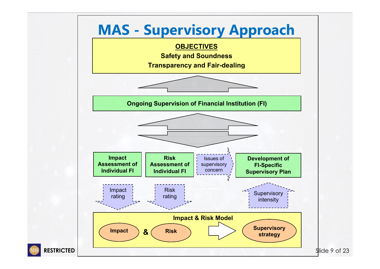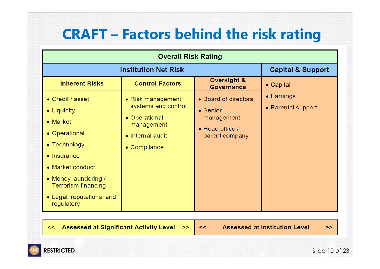### **CRAFT – Factors behind the risk rating**

| <b>Overall Risk Rating</b>                                                                                                                                                                                                       |                                                                                                                     |                                                                                             |                                           |  |  |  |
|----------------------------------------------------------------------------------------------------------------------------------------------------------------------------------------------------------------------------------|---------------------------------------------------------------------------------------------------------------------|---------------------------------------------------------------------------------------------|-------------------------------------------|--|--|--|
| <b>Institution Net Risk</b>                                                                                                                                                                                                      |                                                                                                                     | <b>Capital &amp; Support</b>                                                                |                                           |  |  |  |
| <b>Inherent Risks</b>                                                                                                                                                                                                            | <b>Control Factors</b>                                                                                              | <b>Oversight &amp;</b><br><b>Governance</b>                                                 | • Capital                                 |  |  |  |
| • Credit / asset<br>• Liquidity<br>$\bullet$ Market<br>• Operational<br>• Technology<br>$\bullet$ Insurance<br>• Market conduct<br>• Money laundering /<br><b>Terrorism financing</b><br>• Legal, reputational and<br>regulatory | $\bullet$ Risk management<br>systems and control<br>• Operational<br>management<br>• Internal audit<br>• Compliance | • Board of directors<br>• Senior<br>management<br>$\bullet$ Head office /<br>parent company | $\bullet$ Earnings<br>• Parental support  |  |  |  |
| <b>Assessed at Significant Activity Level</b><br><<                                                                                                                                                                              | >                                                                                                                   | <<                                                                                          | <b>Assessed at Institution Level</b><br>> |  |  |  |

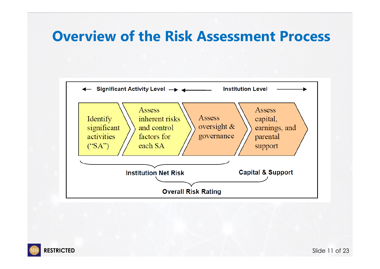#### **Overview of the Risk Assessment Process**





Slide 11 of 23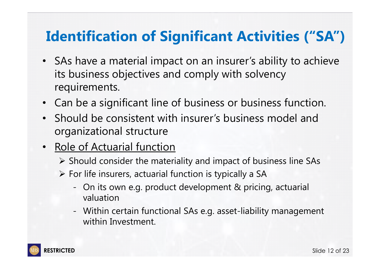### **Identification of Significant Activities ("SA")**

- SAs have a material impact on an insurer's ability to achieve its business objectives and comply with solvency requirements.
- Can be a significant line of business or business function.
- • Should be consistent with insurer's business model and organizational structure
- •• Role of Actuarial function
	- $\triangleright$  Should consider the materiality and impact of business line SAs
	- $\triangleright$  For life insurers, actuarial function is typically a SA
		- On its own e.g. product development & pricing, actuarial valuation
		- Within certain functional SAs e.g. asset-liability management within Investment.

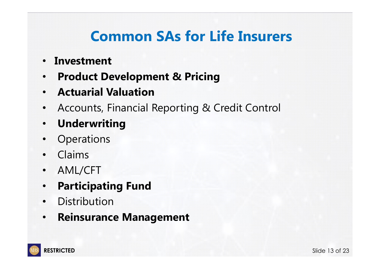#### **Common SAs for Life Insurers**

- •**Investment**
- •**Product Development & Pricing**
- $\bullet$ **Actuarial Valuation**
- •Accounts, Financial Reporting & Credit Control
- •**Underwriting**
- $\bullet$ **Operations**
- •Claims
- $\bullet$ AML/CFT
- •**Participating Fund**
- Distribution
- •**Reinsurance Management**

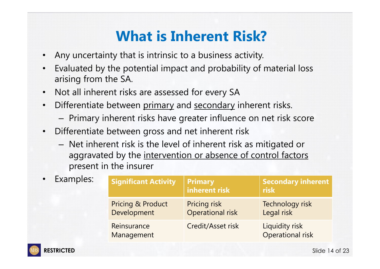### **What is Inherent Risk?**

- •Any uncertainty that is intrinsic to a business activity.
- • Evaluated by the potential impact and probability of material loss arising from the SA.
- •Not all inherent risks are assessed for every SA
- •Differentiate between primary and secondary inherent risks.
	- $-$  Primary inherent risks have greater influence on net risk score
- • Differentiate between gross and net inherent risk
	- Net inherent risk is the level of inherent risk as mitigated or aggravated by the intervention or absence of control factors present in the insurer

| $\bullet$ | Examples: | <b>Significant Activity</b>                 | <b>Primary</b><br>inherent risk                | <b>Secondary inherent</b><br>risk         |  |  |  |
|-----------|-----------|---------------------------------------------|------------------------------------------------|-------------------------------------------|--|--|--|
|           |           | <b>Pricing &amp; Product</b><br>Development | <b>Pricing risk</b><br><b>Operational risk</b> | Technology risk<br>Legal risk             |  |  |  |
|           |           | Reinsurance<br>Management                   | Credit/Asset risk                              | Liquidity risk<br><b>Operational risk</b> |  |  |  |



Slide 14 of 23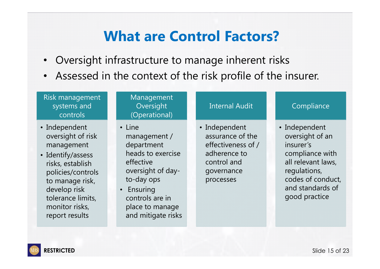#### **What are Control Factors?**

- Oversight infrastructure to manage inherent risks
- Assessed in the context of the risk profile of the insurer.

#### Risk management systems and controls

- Independent oversight of risk management
- Identify/assess risks, establish policies/controls to manage risk, develop risk tolerance limits, monitor risks, report results

#### Management Oversight (Operational)

- Line management / department heads to exercise effective oversight of dayto-day ops
- Ensuring controls are in place to manage and mitigate risks

#### Internal Audit

• Independent assurance of the effectiveness of / adherence to control and governance processes

#### **Compliance**

• Independent oversight of an insurer's compliance with all relevant laws, regulations, codes of conduct, and standards of good practice

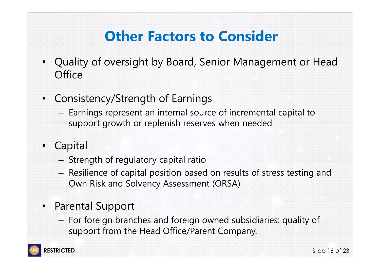### **Other Factors to Consider**

- Quality of oversight by Board, Senior Management or Head **Office**
- Consistency/Strength of Earnings
	- – $-$  Earnings represent an internal source of incremental capital to  $\,$ support growth or replenish reserves when needed
- Capital
	- – $-$  Strength of regulatory capital ratio
	- – Resilience of capital position based on results of stress testing and Own Risk and Solvency Assessment (ORSA)
- Parental Support
	- – For foreign branches and foreign owned subsidiaries: quality of support from the Head Office/Parent Company.

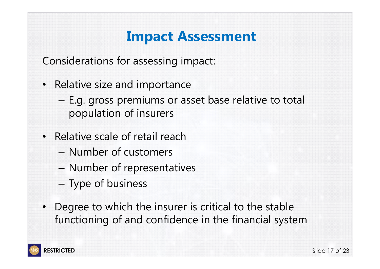### **Impact Assessment**

Considerations for assessing impact:

- Relative size and importance
	- E.g. gross premiums or asset base relative to total population of insurers
- $\bullet$  Relative scale of retail reach
	- Number of customers
	- Number of representatives
	- Type of business
- • Degree to which the insurer is critical to the stable functioning of and confidence in the financial system

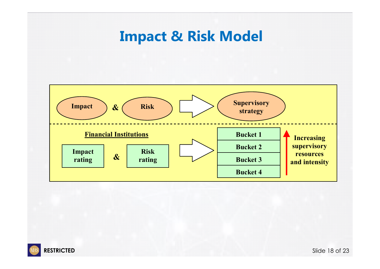#### **Impact & Risk Model**





D Slide 18 of 23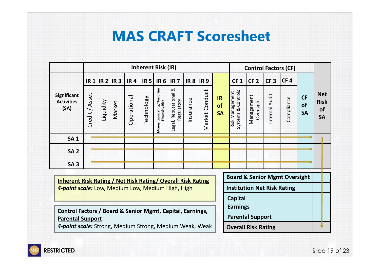#### **MAS CRAFT Scoresheet**

|                                                                                                                                                               | <b>Inherent Risk (IR)</b>                |                      |        |                 |                 |                                               |                                        |             |                | <b>Control Factors (CF)</b>         |  |                                       |                         |                 |                 |                              |                                                     |
|---------------------------------------------------------------------------------------------------------------------------------------------------------------|------------------------------------------|----------------------|--------|-----------------|-----------------|-----------------------------------------------|----------------------------------------|-------------|----------------|-------------------------------------|--|---------------------------------------|-------------------------|-----------------|-----------------|------------------------------|-----------------------------------------------------|
|                                                                                                                                                               |                                          | $IR$ 1 $IR$ 2 $IR$ 3 |        | IR <sub>4</sub> | IR <sub>5</sub> | IR <sub>6</sub>                               | IR <sub>7</sub>                        | IR 8   IR 9 |                |                                     |  | CF <sub>1</sub>                       | CF <sub>2</sub>         | CF <sub>3</sub> | CF <sub>4</sub> |                              |                                                     |
| <b>Significant</b><br><b>Activities</b><br>(SA)                                                                                                               | Asset<br>Credit                          | Liquidity            | Market | Operationa      | Technology      | Money Laundering/ Terrorism<br>Financing Risk | ಹ<br>Legal, Reputational<br>Regulatory | Insurance   | Market Conduct | <b>IR</b><br><b>of</b><br><b>SA</b> |  | Systems & Controls<br>Risk Management | Management<br>Oversight | Internal Audit  | Compliance      | <b>CF</b><br>of<br><b>SA</b> | <b>Net</b><br><b>Risk</b><br><b>of</b><br><b>SA</b> |
| <b>SA1</b>                                                                                                                                                    |                                          |                      |        |                 |                 |                                               |                                        |             |                |                                     |  |                                       |                         |                 |                 |                              |                                                     |
| SA <sub>2</sub>                                                                                                                                               |                                          |                      |        |                 |                 |                                               |                                        |             |                |                                     |  |                                       |                         |                 |                 |                              |                                                     |
| <b>SA3</b>                                                                                                                                                    |                                          |                      |        |                 |                 |                                               |                                        |             |                |                                     |  |                                       |                         |                 |                 |                              |                                                     |
|                                                                                                                                                               | <b>Board &amp; Senior Mgmt Oversight</b> |                      |        |                 |                 |                                               |                                        |             |                |                                     |  |                                       |                         |                 |                 |                              |                                                     |
| <b>Inherent Risk Rating / Net Risk Rating/ Overall Risk Rating</b><br><b>Institution Net Risk Rating</b><br>4-point scale: Low, Medium Low, Medium High, High |                                          |                      |        |                 |                 |                                               |                                        |             |                |                                     |  |                                       |                         |                 |                 |                              |                                                     |
| <b>Capital</b>                                                                                                                                                |                                          |                      |        |                 |                 |                                               |                                        |             |                |                                     |  |                                       |                         |                 |                 |                              |                                                     |
| <b>Earnings</b><br><b>Control Factors / Board &amp; Senior Mgmt, Capital, Earnings,</b>                                                                       |                                          |                      |        |                 |                 |                                               |                                        |             |                |                                     |  |                                       |                         |                 |                 |                              |                                                     |
| <b>Parental Support</b><br><b>Parental Support</b>                                                                                                            |                                          |                      |        |                 |                 |                                               |                                        |             |                |                                     |  |                                       |                         |                 |                 |                              |                                                     |
| 4-point scale: Strong, Medium Strong, Medium Weak, Weak<br><b>Overall Risk Rating</b>                                                                         |                                          |                      |        |                 |                 |                                               |                                        |             |                |                                     |  |                                       |                         |                 |                 |                              |                                                     |

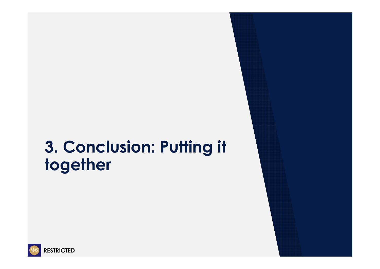# **3. Conclusion: Putting it together**

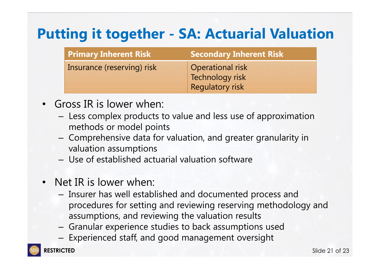# **Putting it together - SA: Actuarial Valuation**

| <b>Primary Inherent Risk</b> | <b>Secondary Inherent Risk</b> |
|------------------------------|--------------------------------|
| Insurance (reserving) risk   | <b>Operational risk</b>        |
|                              | Technology risk                |
|                              | <b>Regulatory risk</b>         |

- Gross IR is lower when:
	- – Less complex products to value and less use of approximation methods or model points
	- – Comprehensive data for valuation, and greater granularity in valuation assumptions
	- Use of established actuarial valuation software
- Net IR is lower when:
	- – $-$  Insurer has well established and documented process and procedures for setting and reviewing reserving methodology and assumptions, and reviewing the valuation results
	- –Granular experience studies to back assumptions used
	- – $-$  Experienced staff, and good management oversight

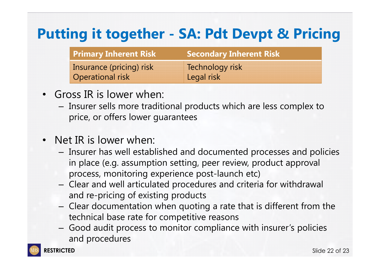## **Putting it together - SA: Pdt Devpt & Pricing**

| <b>Primary Inherent Risk</b> | Secondary Inherent Risk |
|------------------------------|-------------------------|
| Insurance (pricing) risk     | Technology risk         |
| <b>Operational risk</b>      | Legal risk              |

- Gross IR is lower when:
	- $-$  Insurer sells more traditional products which are less complex to price, or offers lower guarantees
- • Net IR is lower when:
	- – $-$  Insurer has well established and documented processes and policies in place (e.g. assumption setting, peer review, product approval process, monitoring experience post-launch etc)
	- – Clear and well articulated procedures and criteria for withdrawal and re-pricing of existing products
	- $-$  Clear documentation when quoting a rate that is different from the technical base rate for competitive reasons
	- Good audit process to monitor compliance with insurer's policies and procedures